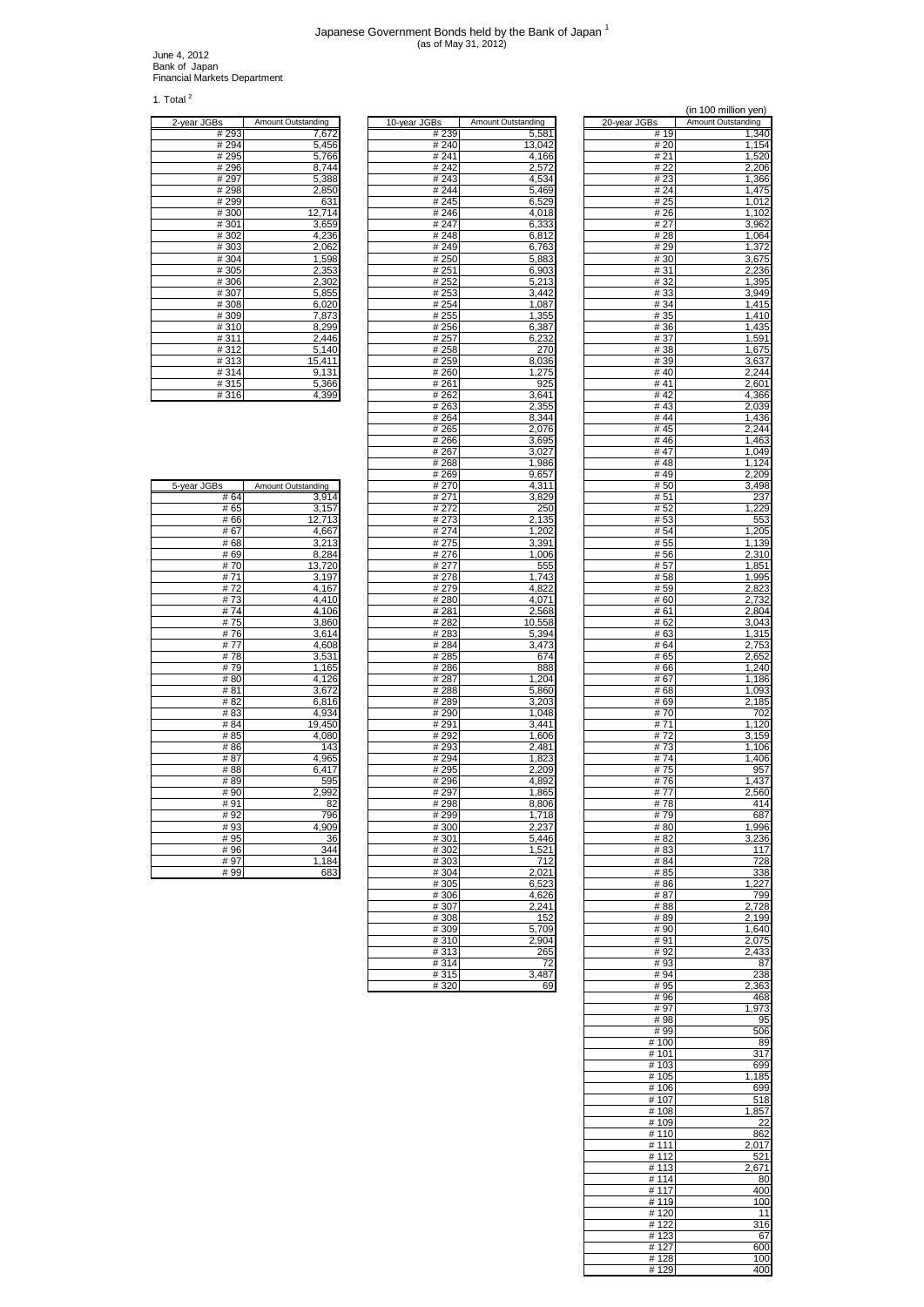## Japanese Government Bonds held by the Bank of Japan 1 (as of May 31, 2012)

June 4, 2012 Bank of Japan Financial Markets Department

1. Total $^2$ 

| 2-year JGBs | Amount Outstanding |
|-------------|--------------------|
| #293        | 7,672              |
| # 294       | 5,456              |
| # 295       | 5,766              |
| #296        | 8,744              |
| #297        | 5,388              |
| #298        | 2,850              |
| #299        | 631                |
| #300        | 12,714             |
| #301        | 3,659              |
| #302        | 4,236              |
| #303        | 2,062              |
| #304        | 1,598              |
| #305        | 2,353              |
| #306        | 2,302              |
| #307        | 5,855              |
| #308        | 6,020              |
| #309        | 7,873              |
| #310        | 8,299              |
| #311        | 2,446              |
| #312        | 5,140              |
| #313        | 15,411             |
| #314        | 9,131              |
| #315        | 5,366              |
| .           |                    |

| z-year JGBs | Amount Outstanding        | 10-year JGBS | Amount Outstanding | zu-vear Juss | Amount Outstanding |
|-------------|---------------------------|--------------|--------------------|--------------|--------------------|
| # 293       | 7,672                     | # 239        | 5,581              | # 19         | 1,340              |
| # 294       | 5,456                     | # 240        | 13,042             | # 20         | 1,154              |
| # 295       | 5,766                     | # 241        | 4,166              | # 21         | 1,520              |
| #296        | 8,744                     | #242         | 2,572              | #22          | 2,206              |
| #297        | 5,388                     | #243         | 4,534              | #23          | 1,366              |
| #298        | 2,850                     | #244         | 5,469              | #24          | 1,475              |
| #299        | 631                       | #245         | 6,529              | # 25         | 1,012              |
| #300        | 12,714                    | #246         | 4,018              | #26          | 1,102              |
| #301        | 3,659                     | #247         | 6,333              | # 27         | 3,962              |
| #302        | 4,236                     | #248         | 6,812              | #28          |                    |
| #303        | 2,062                     | #249         | 6,763              | #29          | 1,064<br>1,372     |
| #304        | 1,598                     | # 250        | 5,883              | # 30         | 3,675              |
| #305        | 2,353                     | # 251        | 6,903              | #31          | 2,236              |
| #306        | 2,302                     | # 252        | 5,213              | #32          | 1,395              |
| #307        | 5,855                     | #253         | 3,442              | #33          | 3,949              |
| #308        | 6,020                     | # 254        | 1,087              | # 34         | 1,415              |
| #309        | 7,873                     | # 255        | 1,355              | # 35         | 1,410              |
| #310        | 8,299                     | #256         | 6,387              | # 36         | 1,435              |
| #311        | 2,446                     | # 257        | 6,232              | # 37         | 1,591              |
| #312        | 5,140                     | #258         | 270                | #38          | 1,675              |
| #313        | 15,411                    | # 259        | 8,036              | # 39         | 3,637              |
| #314        | 9,131                     | # 260        | 1,275              | #40          | 2,244              |
| #315        | 5,366                     | # 261        | 925                | # 41         | 2,601              |
| #316        | 4,399                     | # 262        | 3,641              | #42          | 4,366              |
|             |                           | #263         | 2,355              | #43          | 2,039              |
|             |                           | # 264        | 8,344              | #44          | 1,436              |
|             |                           | # 265        | 2,076              | #45          | 2,244              |
|             |                           | # 266        | 3,695              | #46          | 1,463              |
|             |                           | #267         | 3,027              | #47          | 1,049              |
|             |                           | #268         | 1,986              | #48          | 1,124              |
|             |                           | #269         | 9,657              | #49          | 2,209              |
| 5-year JGBs | <b>Amount Outstanding</b> | # 270        | 4,311              | # 50         | 3,498              |
| #64         | 3,914                     | #271         | 3,829              | # 51         | 237                |
| # 65        | 3,157                     | # 272        | 250                | #52          | 1,229              |
| #66         | 12,713                    | # 273        | 2,135              | #53          | 553                |
| #67         | 4,667                     | # 274        | 1,202              | # 54         | 1,205              |
| #68         | 3,213                     | #275         | 3,391              | # 55         | 1,139              |
| #69         | 8,284                     | #276         | 1,006              | #56          | 2,310              |
| #70         | 13,720                    | # 277        | 555                | #57          | 1,851              |
| #71         | 3,197                     | #278         | 1,743              | #58          | 1,995              |
| #72         | 4,167                     | #279         | 4,822              | # 59         | 2,823              |
| #73         | 4,410                     | #280         | 4,071              | #60          | 2,732              |
| #74         | 4,106                     | #281         | 2,568              | #61          | 2,804              |
| #75         | 3,860                     | # 282        | 10,558             | # 62         | 3,043              |
| #76         | 3,614                     | # 283        | 5,394              | # 63         | 1,315              |
| #77         | 4,608                     | #284         | 3,473              | # 64         | 2,753              |
| #78         | 3,531                     | # 285        | 674                | # 65         | 2,652              |
| #79         | 1,165                     | #286         | 888                | #66          | 1,240              |
| #80         | 4,126                     | #287         | 1,204              | #67          | 1,186              |
| #81         | 3,672                     | #288         | 5,860              | #68          | 1,093              |
| #82         | 6,816                     | #289         | 3,203              | #69          | 2,185              |
| #83         | 4,934                     | #290         | 1,048              | #70          | 702                |
| #84         | 19,450                    | #291         | 3,441              | #71          | 1,120              |
| #85         | 4,080                     | #292         | 1,606              | #72          | 3,159              |
| #86         | 143                       | #293         | 2,481              | #73          | 1,106              |
| #87         | 4,965                     | #294         | 1,823              | #74          | 1,406              |
| #88         | 6,417                     | #295         | 2,209              | #75          | 957                |
| #89         | 595                       | #296         | 4,892              | #76          | 1,437              |
| #90         | 2,992                     | #297         | 1,865              | #77          | 2,560              |
| #91         | 82                        | #298         | 8,806              | #78          | 414                |
| #92         | 796                       | #299         | 1,718              | #79          | 687                |
| #93         | 4,909                     | #300         | 2,237              | #80          | 1,996              |
| # 95        | 36                        | #301         | 5,446              | # 82         | 3,236              |
| #96         | 344                       | #302         | 1,521              | # 83         | 117                |
| #97         | 1,184                     | #303         | 712                | # 84         | 728                |
| # 99        | 683                       | #304         | 2,021              | # 85         | 338                |
|             |                           | #305         | 6,523              | # 86         | 1,227              |
|             |                           | #306         | 4,626              | # 87         | 799                |
|             |                           | #307         | 2,241              | # 88         | 2,728              |
|             |                           | #308         | 152                | #89          | 2,199              |
|             |                           | #309         | 5,709              | #90          | 1,640              |
|             |                           | #310         | 2,904              | #91          | 2,075              |
|             |                           | #313         | 265                | #92          | 2,433              |
|             |                           | #314         | 72                 | #93          | 87                 |
|             |                           | #315         | 3,487              | #94          | 238                |
|             |                           | #320         | 69                 | #95          | 2,363              |

| λαι                |                                    |                |                    |              | (in 100 million yen) |
|--------------------|------------------------------------|----------------|--------------------|--------------|----------------------|
| 2-year JGBs        | Amount Outstanding                 | 10-year JGBs   | Amount Outstanding | 20-year JGBs | Amount Outstanding   |
| #293               | 7,672                              | # 239          | 5,581              | #19          | 1,340                |
| # 294              | 5,456                              | # 240          | 13,042             | # 20         | 1,154                |
| #295<br>#296       | 5,766<br>8,744                     | # 241<br>#242  | 4,166<br>2,572     | # 21<br># 22 | 1,520<br>2,206       |
| #297               | 5,388                              | #243           | 4,534              | #23          | 1,366                |
| #298               | 2,850                              | #244           | 5,469              | #24          | 1,475                |
| #299               | 631                                | #245           | 6,529              | # 25         | 1,012                |
| #300               | 12,714                             | #246<br>#247   | 4,018              | #26<br># 27  | 1,102                |
| #301<br>#302       | 3,659<br>4,236                     | #248           | 6,333<br>6,812     | # 28         | 3,962<br>1,064       |
| #303               | 2,062                              | #249           | 6,763              | #29          | 1,372                |
| #304               | 1,598                              | #250           | 5,883              | #30          | 3,675                |
| #305               | 2,353                              | #251           | 6,903              | # 31         | 2,236                |
| #306               | 2,302                              | #252           | 5,213              | #32          | 1,395                |
| #307<br>#308       | 5,855<br>6,020                     | #253<br>#254   | 3,442<br>1,087     | #33<br>#34   | 3,949<br>1,415       |
| #309               | 7,873                              | # 255          | 1,355              | # 35         | 1,410                |
| #310               | 8,299                              | #256           | 6,387              | #36          | 1,435                |
| #311               | 2,446                              | # 257          | 6,232              | #37          | 1,591                |
| #312<br>#313       | 5,140<br>15,411                    | #258<br># 259  | 270<br>8,036       | #38<br>#39   | 1,675<br>3,637       |
| #314               | 9,131                              | # 260          | 1,275              | #40          | 2,244                |
| #315               | 5,366                              | # 261          | 925                | # 41         | 2,601                |
| #316               | 4,399                              | # 262          | 3,641              | # 42         | 4,366                |
|                    |                                    | #263           | 2,355              | #43          | 2,039                |
|                    |                                    | # 264<br># 265 | 8,344<br>2,076     | #44<br>#45   | 1,436<br>2,244       |
|                    |                                    | # 266          | 3,695              | #46          | 1,463                |
|                    |                                    | #267           | 3,027              | #47          | 1,049                |
|                    |                                    | #268           | 1,986              | #48          | 1,124                |
|                    |                                    | #269           | 9,657              | #49          | 2,209                |
| 5-year JGBs<br>#64 | <b>Amount Outstanding</b><br>3,914 | # 270<br># 271 | 4,311<br>3,829     | # 50<br># 51 | 3,498<br>237         |
| #65                | 3,157                              | # 272          | 25C                | # 52         | 1,229                |
| #66                | 12,713                             | # 273          | 2,135              | #53          | 553                  |
| #67                | 4,667                              | #274           | 1,202              | # 54         | 1,205                |
| #68<br>#69         | 3,213<br>8,284                     | #275<br>#276   | 3,391<br>1,006     | # 55<br># 56 | 1,139<br>2,310       |
| #70                | 13,720                             | # 277          | 555                | #57          | 1,851                |
| #71                | 3,197                              | #278           | 1,743              | #58          | 1,995                |
| #72                | 4,167                              | #279           | 4,822              | #59          | 2,823                |
| #73<br>#74         | 4,410<br>4,106                     | #280<br>#281   | 4,071<br>2,568     | #60<br># 61  | 2,732<br>2,804       |
| #75                | 3,860                              | # 282          | 10,558             | # 62         | 3,043                |
| #76                | 3,614                              | #283           | 5,394              | # 63         | 1,315                |
| #77                | 4,608                              | #284           | 3,473              | # 64         | 2,753                |
| #78                | 3,531                              | # 285          | 674                | # 65         | 2,652                |
| #79<br>#80         | 1,165<br>4,126                     | #286<br>#287   | 888<br>1,204       | # 66<br>#67  | 1,240<br>1,186       |
| #81                | 3,672                              | #288           | 5,860              | #68          | 1,093                |
| #82                | 6,816                              | #289           | 3,203              | #69          | 2,185                |
| #83                | 4,934                              | #290           | 1,048              | #70          | 702                  |
| #84<br># 85        | 19,450<br>4,080                    | #291<br>#292   | 3,441<br>1,606     | #71<br>#72   | 1,120<br>3,159       |
| #86                | 143                                | #293           | 2,481              | #73          | 1,106                |
| #87                | 4,965                              | #294           | 1,823              | #74          | 1,406                |
| #88                | 6,417                              | #295           | 2,209              | #75          | 957                  |
| #89<br>#90         | 595<br>2,992                       | #296<br>#297   | 4,892<br>1,865     | #76<br>#77   | 1,437<br>2,560       |
| #91                | 82                                 | #298           | 8,806              | #78          | 414                  |
| #92                | 796                                | #299           | 1,718              | #79          | 687                  |
| #93                | 4,909                              | #300           | 2,237              | #80          | 1,996                |
| # 95<br>#96        | 36<br>344                          | #301<br>#302   | 5,446<br>1,521     | # 82<br># 83 | 3,236<br>117         |
| #97                | 1,184                              | #303           | 712                | # 84         | 728                  |
| # 99               | 683                                | #304           | 2,021              | # 85         | 338                  |
|                    |                                    | #305           | 6,523              | # 86         | 1,227                |
|                    |                                    | #306           | 4,626<br>2,241     | # 87         | 799                  |
|                    |                                    | #307<br>#308   | 152                | #88<br>#89   | 2,728<br>2,199       |
|                    |                                    | #309           | 5,709              | # 90         | 1,640                |
|                    |                                    | #310           | 2,904              | #91          | 2,075                |
|                    |                                    | #313<br>#314   | 265<br>72          | #92<br>#93   | 2,433                |
|                    |                                    | #315           | 3,487              | #94          | 87<br>238            |
|                    |                                    | #320           | 69                 | #95          | 2,363                |
|                    |                                    |                |                    | #96          | 468                  |
|                    |                                    |                |                    | #97<br>#98   | 1,973<br>95          |
|                    |                                    |                |                    | #99          | 506                  |
|                    |                                    |                |                    | #100         | 89                   |
|                    |                                    |                |                    | #101         | 317                  |
|                    |                                    |                |                    | #103<br>#105 | 699<br>185           |
|                    |                                    |                |                    | #106         | 699                  |
|                    |                                    |                |                    | #107         | 518                  |
|                    |                                    |                |                    | #108         | 1,857                |
|                    |                                    |                |                    | #109<br>#110 | 22<br>862            |
|                    |                                    |                |                    | #111         | 2,017                |
|                    |                                    |                |                    | # 112        | 521                  |
|                    |                                    |                |                    | #113         | 2,671                |
|                    |                                    |                |                    | #114<br>#117 | 80<br>400            |
|                    |                                    |                |                    | #119         | 100                  |
|                    |                                    |                |                    | #120         | 11                   |
|                    |                                    |                |                    | #122         | 316                  |
|                    |                                    |                |                    | #123<br>#127 | 67<br>600            |
|                    |                                    |                |                    | #128         | 100                  |
|                    |                                    |                |                    | #129         | 400                  |

| 5-year JGBs | Amount Outstanding |
|-------------|--------------------|
| #64         | 3,914              |
| # 65        | 3,157              |
| #66         | 12,713             |
| #67         | 4,667              |
| #68         | 3,213              |
| #69         | 8,284              |
| #70         | 13,720             |
| #71         | 3,197              |
| #72         | 4,167              |
| #73         | 4,410              |
| #74         | 4,106              |
| #75         | 3,860              |
| #76         | 3,614              |
| #77         | 4,608              |
| #78         | 3,531              |
| #79         | 1,165              |
| #80         | $\overline{4,126}$ |
| #81         | 3,672              |
| #82         | 6,816              |
| #83         | 4,934              |
| #84         | 19,450             |
| # 85        | 4,080              |
| #86         | 143                |
| #87         | 4,965              |
| #88         | 6,417              |
| #89         | 595                |
| #90         | 2,992              |
| #91         | 82                 |
| #92         | 796                |
| #93         | 4,909              |
| # 95        | 36                 |
| #96         | 344                |
| # 97        | 1,184              |
| # 99        | 683                |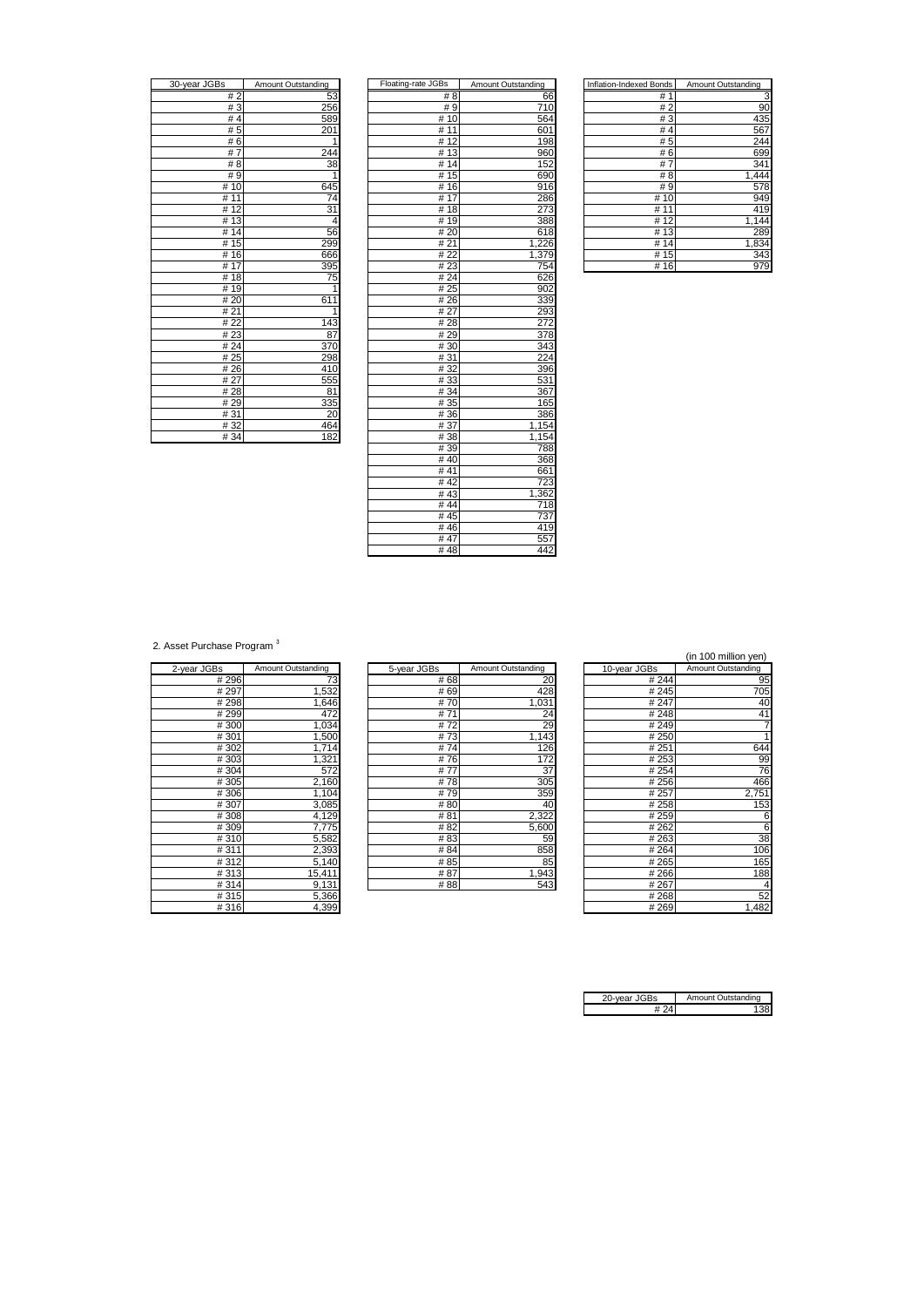| 30-year JGBs         | Amount Outstanding   |
|----------------------|----------------------|
| #2                   | 53                   |
| #3                   | 256                  |
| #4                   | 589                  |
| #5                   | $\overline{1}$<br>20 |
| #6                   | 1                    |
| #7                   | 244                  |
| #8                   | 38                   |
| #9                   |                      |
| #10                  | 645                  |
| 11<br>#              | 74                   |
| 12<br>#              | 31                   |
| $\overline{13}$<br># | 4                    |
| 14<br>#              | 56                   |
| #15                  | 299                  |
| 16<br>#              | 666                  |
| 17<br>#              | 395                  |
| $\overline{18}$<br># | 75                   |
| # 19                 | 1                    |
| # 20                 | 611                  |
| # 21                 | 1                    |
| # 22                 | 143                  |
| #23                  | 87                   |
| #24                  | 370                  |
| #25                  | 298                  |
| #26                  | 410                  |
| # 27                 | 555                  |
| #28                  | 81                   |
| #29                  | 335                  |
| #31                  | 20                   |
| #32                  | 464                  |
| $\overline{401}$     | 100                  |

| 30-year JGBs | Amount Outstanding | Floating-rate JGBs | Amount Outstanding | <b>Inflation-Indexed Bonds</b> | Amount Outstanding |
|--------------|--------------------|--------------------|--------------------|--------------------------------|--------------------|
| #2           | 53                 | # 8                | 66                 | #1                             | З                  |
| #3           | 256                | #9                 | 710                | #2                             | 90                 |
| #4           | 589                | # 10               | 564                | #3                             | 435                |
| #5           | 201                | # 11               | 601                | #4                             | 567                |
| #6           | 1                  | #12                | 198                | #5                             | 244                |
| #7           | 244                | #13                | 960                | #6                             | 699                |
| # 8          | 38                 | #14                | 152                | #7                             | 341                |
| #9           | 1                  | #15                | 690                | #8                             | 1,444              |
| #10          | 645                | #16                | 916                | #9                             | 578                |
| # 11         | 74                 | #17                | 286                | #10                            | 949                |
| #12          | 31                 | #18                | 273                | # 11                           | 419                |
| #13          | 4                  | #19                | 388                | #12                            | 1,144              |
| #14          | 56                 | #20                | 618                | #13                            | <b>289</b>         |
| #15          | 299                | #21                | 1,226              | #14                            | 1,834              |
| #16          | 666                | #22                | 1,379              | #15                            | 343                |
| #17          | 395                | #23                | 754                | #16                            | 979                |
| #18          | 75                 | #24                | 626                |                                |                    |
| #19          | 1                  | #25                | 902                |                                |                    |
| #20          | 611                | #26                | 339                |                                |                    |
| #21          | 1                  | #27                | 293                |                                |                    |
| #22          | 143                | #28                | 272                |                                |                    |
| #23          | 87                 | #29                | 378                |                                |                    |
| #24          | 370                | #30                | 343                |                                |                    |
| #25          | 298                | #31                | 224                |                                |                    |
| #26          | 410                | #32                | 396                |                                |                    |
| # 27         | 555                | #33                | 531                |                                |                    |
| #28          | 81                 | #34                | 367                |                                |                    |
| #29          | 335                | # 35               | 165                |                                |                    |
| #31          | 20                 | #36                | 386                |                                |                    |
| #32          | 464                | #37                | 1,154              |                                |                    |
| #34          | 182                | #38                | 1,154              |                                |                    |
|              |                    | #39                | 788                |                                |                    |
|              |                    | #40                | 368                |                                |                    |
|              |                    | #41                | 661                |                                |                    |
|              |                    | #42                | 723                |                                |                    |
|              |                    | #43                | 1,362              |                                |                    |
|              |                    | #44                | 718                |                                |                    |
|              |                    | #45                | 737                |                                |                    |
|              |                    | #46                | 419                |                                |                    |
|              |                    | #47                | 557                |                                |                    |
|              |                    | #48                | 442                |                                |                    |

| Inflation-Indexed Bonds | Amount Outstanding |
|-------------------------|--------------------|
| #<br>1                  |                    |
| #2                      | 90                 |
| #3                      | 435                |
| #4                      | 567                |
| # 5                     | 244                |
| #6                      | 699                |
| #<br>7                  | 341                |
| # 8                     | 1,444              |
| # 9                     | 578                |
| #<br>10                 | 949                |
| #<br>11                 | 419                |
| # 12                    | 1,144              |
| # 13                    | 289                |
| #<br>14                 | 1,834              |
| # 15                    | 343                |
| #16                     | 979                |

2. Asset Purchase Program<sup>3</sup>

| 2-year JGBs | Amount Outstanding |
|-------------|--------------------|
| # 296       | ΄3                 |
| #297        | 1,532              |
| #298        | 1,646              |
| # 299       | 472                |
| #300        | 1,034              |
| #301        | 1,500              |
| #302        | 1,714              |
| #303        | 1,321              |
| #304        | 572                |
| #305        | 2,160              |
| #306        | 1,104              |
| #307        | 3,085              |
| #308        | 4,129              |
| #309        | 7,775              |
| #310        | 5,582              |
| #311        | 2,393              |
| #312        | 5,140              |
| #313        | 15,411             |
| #314        | 9,131              |
| #315        | 5,366              |
| #316        | 4.399              |

| 2-year JGBs<br>Amount Outstanding<br>5-year JGBs<br>Amount Outstanding<br>10-year JGBs<br>#296<br>#68<br>20<br># 244<br>73<br>#297<br>1,532<br>428<br># 69<br># 245<br>#298<br>#70<br>1,031<br># 247<br>1,646<br>#299<br>472<br>#71<br>#248<br>24<br>1,034<br>#300<br>#72<br>29<br>#249<br>#301<br>1,500<br>#73<br>1,143<br># 250<br>#302<br>1,714<br>#74<br>126<br>#251<br>#303<br>172<br>1,321<br>#76<br># 253<br>37<br>#304<br>#77<br>572<br># 254<br>305<br>#305<br>#78<br>2,160<br>#256<br>#306<br>#79<br>359<br>1,104<br># 257<br>3,085<br>#307<br>#80<br>#258<br>40<br>#308<br>4,129<br>#81<br>2,322<br>#259<br>#309<br>7,775<br>#82<br>#262<br>5,600<br>5,582<br>#310<br>#263<br>#83<br>59<br>#311<br>2,393<br>858<br>#84<br>#264<br>#312<br>85<br>#85<br>#265<br>5,140<br>#313<br>#87<br>1,943<br>15,411<br>#266 |      |       |     |     |      | $100$ $1000$ $11000$ |
|---------------------------------------------------------------------------------------------------------------------------------------------------------------------------------------------------------------------------------------------------------------------------------------------------------------------------------------------------------------------------------------------------------------------------------------------------------------------------------------------------------------------------------------------------------------------------------------------------------------------------------------------------------------------------------------------------------------------------------------------------------------------------------------------------------------------------|------|-------|-----|-----|------|----------------------|
|                                                                                                                                                                                                                                                                                                                                                                                                                                                                                                                                                                                                                                                                                                                                                                                                                           |      |       |     |     |      | Amount Outstanding   |
|                                                                                                                                                                                                                                                                                                                                                                                                                                                                                                                                                                                                                                                                                                                                                                                                                           |      |       |     |     |      | 95                   |
|                                                                                                                                                                                                                                                                                                                                                                                                                                                                                                                                                                                                                                                                                                                                                                                                                           |      |       |     |     |      | 705                  |
|                                                                                                                                                                                                                                                                                                                                                                                                                                                                                                                                                                                                                                                                                                                                                                                                                           |      |       |     |     |      | 40                   |
|                                                                                                                                                                                                                                                                                                                                                                                                                                                                                                                                                                                                                                                                                                                                                                                                                           |      |       |     |     |      | 41                   |
|                                                                                                                                                                                                                                                                                                                                                                                                                                                                                                                                                                                                                                                                                                                                                                                                                           |      |       |     |     |      |                      |
|                                                                                                                                                                                                                                                                                                                                                                                                                                                                                                                                                                                                                                                                                                                                                                                                                           |      |       |     |     |      |                      |
|                                                                                                                                                                                                                                                                                                                                                                                                                                                                                                                                                                                                                                                                                                                                                                                                                           |      |       |     |     |      | 644                  |
|                                                                                                                                                                                                                                                                                                                                                                                                                                                                                                                                                                                                                                                                                                                                                                                                                           |      |       |     |     |      | 99                   |
|                                                                                                                                                                                                                                                                                                                                                                                                                                                                                                                                                                                                                                                                                                                                                                                                                           |      |       |     |     |      | 76                   |
|                                                                                                                                                                                                                                                                                                                                                                                                                                                                                                                                                                                                                                                                                                                                                                                                                           |      |       |     |     |      | 466                  |
|                                                                                                                                                                                                                                                                                                                                                                                                                                                                                                                                                                                                                                                                                                                                                                                                                           |      |       |     |     |      | 2,751                |
|                                                                                                                                                                                                                                                                                                                                                                                                                                                                                                                                                                                                                                                                                                                                                                                                                           |      |       |     |     |      | 153                  |
|                                                                                                                                                                                                                                                                                                                                                                                                                                                                                                                                                                                                                                                                                                                                                                                                                           |      |       |     |     |      | 6                    |
|                                                                                                                                                                                                                                                                                                                                                                                                                                                                                                                                                                                                                                                                                                                                                                                                                           |      |       |     |     |      | 6                    |
|                                                                                                                                                                                                                                                                                                                                                                                                                                                                                                                                                                                                                                                                                                                                                                                                                           |      |       |     |     |      | 38                   |
|                                                                                                                                                                                                                                                                                                                                                                                                                                                                                                                                                                                                                                                                                                                                                                                                                           |      |       |     |     |      | 106                  |
|                                                                                                                                                                                                                                                                                                                                                                                                                                                                                                                                                                                                                                                                                                                                                                                                                           |      |       |     |     |      | 165                  |
|                                                                                                                                                                                                                                                                                                                                                                                                                                                                                                                                                                                                                                                                                                                                                                                                                           |      |       |     |     |      | 188                  |
|                                                                                                                                                                                                                                                                                                                                                                                                                                                                                                                                                                                                                                                                                                                                                                                                                           | #314 | 9,131 | #88 | 543 | #267 | 4                    |

|       | ase Program <sup>3</sup> |             |                    |              | (in 100 million yen) |
|-------|--------------------------|-------------|--------------------|--------------|----------------------|
| S     | Amount Outstanding       | 5-year JGBs | Amount Outstanding | 10-year JGBs | Amount Outstanding   |
| # 296 | 73                       | # 68        | 20                 | # 244        | 95                   |
| # 297 | 1,532                    | # 69        | 428                | # 245        | 705                  |
| # 298 | 1,646                    | #70         | 1,031              | # 247        | 40                   |
| #299  | 472                      | #71         | 24                 | #248         | 41                   |
| #300  | 1,034                    | #72         | 29                 | #249         |                      |
| #301  | 1,500                    | #73         | 1,143              | # 250        |                      |
| #302  | 1,714                    | #74         | 126                | #251         | 644                  |
| #303  | 1,321                    | #76         | 172                | # 253        | 99                   |
| #304  | 572                      | #77         | 37                 | # 254        | 76                   |
| #305  | 2,160                    | #78         | 305                | #256         | 466                  |
| #306  | 1,104                    | #79         | 359                | # 257        | 2,751                |
| #307  | 3,085                    | #80         | 40                 | #258         | 153                  |
| #308  | 4,129                    | #81         | 2,322              | #259         | 6                    |
| #309  | 7,775                    | #82         | 5,600              | #262         | 6                    |
| #310  | 5,582                    | #83         | 59                 | #263         | 38                   |
| #311  | 2,393                    | #84         | 858                | #264         | 106                  |
| #312  | 5,140                    | # 85        | 85                 | #265         | 165                  |
| #313  | 15,411                   | # 87        | 1,943              | #266         | 188                  |
| #314  | 9,131                    | #88         | 543                | #267         |                      |
| #315  | 5,366                    |             |                    | #268         | 52                   |
| #316  | 4,399                    |             |                    | #269         | 1,482                |

| 20-year JGBs | Amount Outstanding |
|--------------|--------------------|
|              |                    |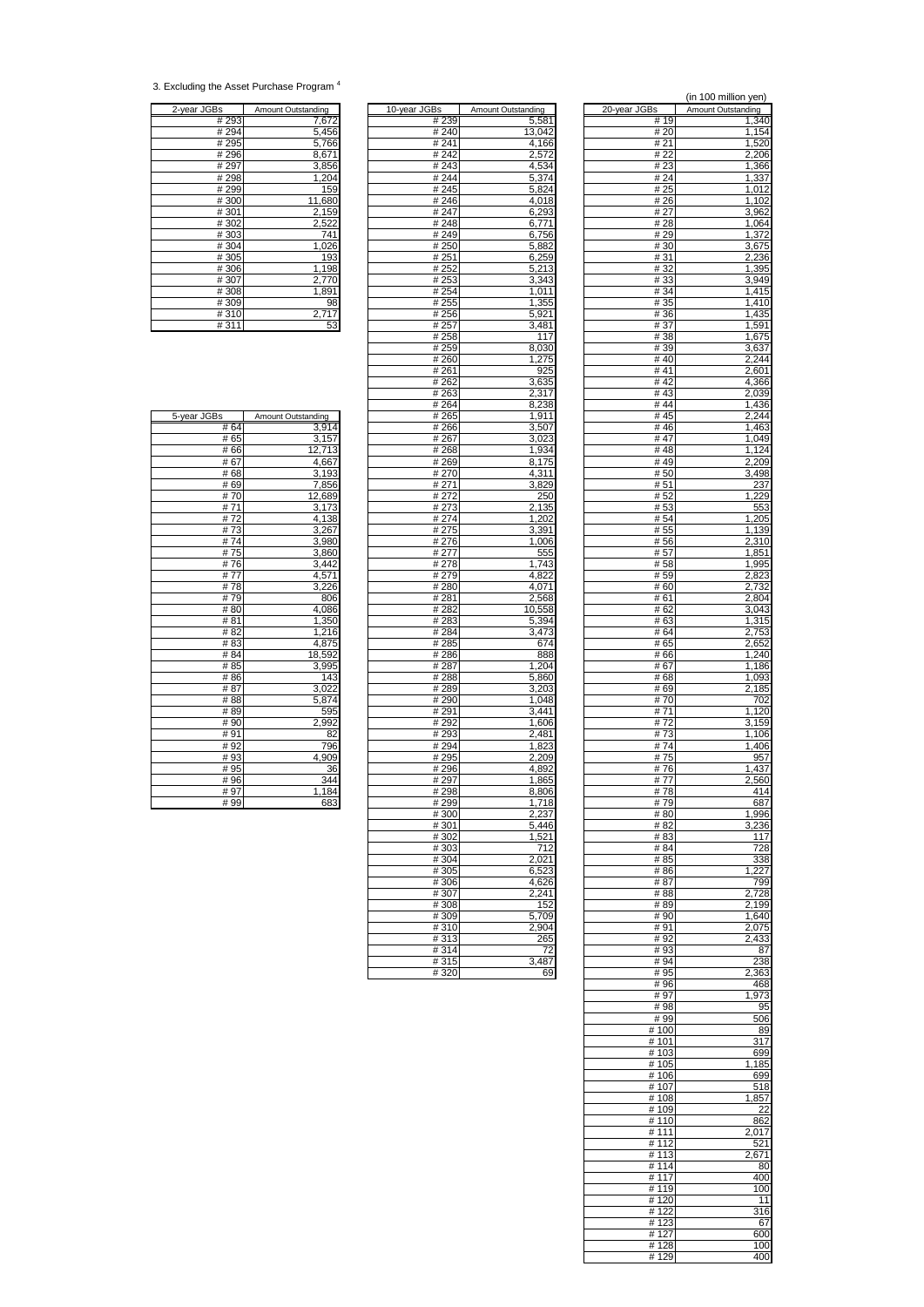<sup>3.</sup> Excluding the Asset Purchase Program <sup>4</sup>

| 2-year JGBs | Amount Outstanding |
|-------------|--------------------|
| #293        | 7,672              |
|             |                    |
| #294        | 5,456              |
| #295        | 5,766              |
| #296        | 8,671              |
| #297        | 3,856              |
| #298        | 1,204              |
| #299        | 159                |
| #300        | 11,680             |
| #301        | 2,159              |
| #302        | 2,522              |
| #303        | 741                |
| #304        | 1,026              |
| #305        | 193                |
| #306        | 1,198              |
| #307        | 2,770              |
| #308        | 1,891              |
| #309        | 98                 |
| #310        | 2,717              |
| #311        | 53                 |

| 2-year JGBs  | Amount Outstanding | 10-year JGBs  | Amount Outstanding | 20-year JGBs | Amount Outstanding |
|--------------|--------------------|---------------|--------------------|--------------|--------------------|
| # 293        | 7,672              | # 239         | 5,581              | # 19         | 1,340              |
| #294         | 5,456              | #240          | 13,042             | # 20         | 1,154              |
| # 295        | 5,766              | # 241         | 4,166              | # 21         | 1,520              |
| #296         | 8,671              | #242          | 2,572              | # 22         | 2,206              |
| #297<br>#298 | 3,856<br>1,204     | #243<br>#244  | 4,534              | #23<br># 24  | 1,366              |
| #299         |                    | #245          | 5,374              | # 25         | 1,337              |
| #300         | 159<br>11,680      | #246          | 5,824<br>4,018     | # 26         | 1,012<br>1,102     |
| #301         | 2,159              | #247          | 6,293              | # 27         | 3,962              |
| #302         | 2,522              | #248          | 6,771              | #28          | 1,064              |
| #303         | 741                | #249          | 6,756              | #29          | 1,372              |
| #304         | 1,026              | # 250         | 5,882              | # 30         | 3,675              |
| #305         | 193                | #251          | 6,259              | #31          | 2,236              |
| #306         | 1,198              | # 252         | 5,213              | #32          | 1,395              |
| #307         | 2,770              | #253          | 3,343              | # 33         | 3,949              |
| #308         | 1,891              | #254          | 1,011              | # 34         | 1,415              |
| #309         | 98                 | # 255         | 1,355              | # 35         | 1,410              |
| #310         | 2,717              | #256          | 5,921              | #36          | 1,435              |
| #311         | 53                 | # 257         | 3,481              | # 37         | 1,591              |
|              |                    | # 258         | 117                | #38          | 1,675              |
|              |                    | # 259         | 8,030              | # 39         | 3,637              |
|              |                    | #260          | 1,275              | #40          | 2,244              |
|              |                    | #261          | 925                | #41          | 2,601              |
|              |                    | # 262         | 3,635              | #42<br>#43   | 4,366              |
|              |                    | # 263         | 2,317              |              | 2,039              |
| 5-year JGBs  | Amount Outstanding | #264<br># 265 | 8,238<br>1,911     | #44<br>#45   | 1,436<br>2,244     |
| # 64         | 3,914              | # 266         | 3,507              | #46          | 1,463              |
| # 65         | 3,157              | # 267         | 3,023              | #47          | 1,049              |
| #66          | 12,713             | # 268         | 1,934              | #48          | 1,124              |
| # 67         | 4,667              | #269          | 8,175              | #49          | 2,209              |
| #68          | 3,193              | #270          | 4,311              | #50          | 3,498              |
| #69          | 7,856              | #271          | 3,829              | #51          | 237                |
| #70          | 12,689             | #272          | 250                | #52          | 1,229              |
| #71          | 3,173              | #273          | 2,135              | #53          | 553                |
| #72          | 4,138              | #274          | 1,202              | # 54         | 1,205              |
| #73          | 3,267              | # 275         | 3,391              | # 55         | 1,139              |
| #74          | 3,980              | #276          | 1.006              | #56          | 2,310              |
| #75          | 3,860              | # 277         | 555                | # 57         | 1,851              |
| #76          | 3,442              | #278          | 1,743              | #58          | 1,995              |
| #77          | 4,571              | #279          | 4,822              | # 59         | 2,823              |
| #78          | 3,226              | #280          | 4,071              | # 60         | 2,732              |
| #79          | 806                | #281          | 2,568              | #61          | 2,804              |
| #80<br>#81   | 4,086              | # 282         | 10,558             | # 62         | 3,043              |
| #82          | 1,350<br>1,216     | # 283<br>#284 | 5,394<br>3,473     | # 63<br># 64 | 1,315<br>2,753     |
| #83          | 4,875              | #285          | 674                | # 65         | 2,652              |
| #84          | 18,592             | #286          | 888                | # 66         | 1,240              |
| #85          | 3,995              | #287          | 1,204              | #67          | 1,186              |
| #86          | 143                | #288          | 5,860              | # 68         | 1,093              |
| #87          | 3,022              | # 289         | 3,203              | # 69         | 2,185              |
| #88          | 5,874              | #290          | 1,048              | #70          | 702                |
| #89          | 595                | # 291         | 3,441              | #71          | 1,120              |
| #90          | 2,992              | #292          | 1,606              | #72          | 3,159              |
| #91          | 82                 | #293          | 2,481              | #73          | 1,106              |
| #92          | 796                | #294          | 1,823              | #74          | 1,406              |
| #93          | 4,909              | #295          | 2,209              | #75          | 957                |
| #95          | 36                 | #296          | 4,892              | #76          | 1,437              |
| #96          | 344                | #297          | 1,865              | #77          | 2,560              |
| #97          | 1,184              | #298          | 8,806              | #78          | 414                |
| #99          | 683                | # 299         | 1,718              | #79          | 687                |
|              |                    | #300          | 2,237              | #80          | 1,996              |
|              |                    | #301<br>#302  | 5,446              | #82<br>#83   | 3,236<br>117       |
|              |                    | #303          | 1,521<br>712       | #84          | 728                |
|              |                    | #304          | 2,021              | # 85         | 338                |
|              |                    | #305          | 6,523              | #86          | 1,227              |
|              |                    | #306          | 4,626              | #87          | 799                |
|              |                    | #307          | 2,241              | #88          | 2,728              |
|              |                    | #308          | 152                | #89          | 2,199              |
|              |                    | #309          | 5,709              | # 90         | 1,640              |
|              |                    | #310          | 2,904              | #91          | 2,075              |
|              |                    | #313          | 265                | #92          | 2,433              |
|              |                    | #314          | 72                 | #93          | $\overline{87}$    |
|              |                    | #315          | 3,487              | # 94         | 238                |
|              |                    | #320          | 69                 | #95          | 2.363              |

|                            |                    |                | (in 100 million yen) |
|----------------------------|--------------------|----------------|----------------------|
| Зs                         | Amount Outstanding | 20-year JGBs   | Amount Outstanding   |
| # 239<br># 240             | 5,581<br>13,042    | # 19<br># 20   | 1,340<br>1,154       |
| # 241                      | 4,166              | # 21           | 1,520                |
| # 242                      | 2,572              | # 22           | 2,206                |
| #243<br>#244               | 4,534<br>5,374     | #23<br># 24    | 1,366<br>1,337       |
| #245                       | 5,824              | # 25           | 1,012                |
| #246                       | 4,018              | #26            | 1,102                |
| # 247<br># 248             | 6,293<br>6,771     | # 27<br># 28   | 3,962<br>1,064       |
| #249                       | 6,756              | # 29           | 1,372                |
| # 250                      | 5,882              | # 30           | 3,675                |
| # 251                      | 6,259<br>5,213     | #31<br>#32     | 2,236<br>1,395       |
| # 252<br># 253             | 3,343              | #33            | 3,949                |
| # 254                      | 1,011              | #34            | 1,415                |
| # 255                      | 1,355              | # 35           | 1,410                |
| # 256<br># 257             | 5,921<br>3,481     | # 36<br>#37    | 1,435<br>1,591       |
| # 258                      | 117                | #38            | 1,675                |
| # 259                      | 8,030              | #39            | 3,637                |
| #260<br># 261              | 1,275<br>925       | #40<br># 41    | 2,244<br>2,601       |
| # 262                      | 3,635              | #42            | 4,366                |
| # 263                      | 2,317              | #43            | 2,039                |
| # 264<br># 265             | 8,238<br>1,911     | #44<br>#45     | 1,436<br>2,244       |
| # 266                      | 3,507              | #46            | 1,463                |
| # 267                      | 3,023              | #47            | 1,049                |
| # 268<br>#269              | 1,934<br>8,175     | #48<br>#49     | 1,124<br>2,209       |
| # 270                      | 4,311              | #50            | 3,498                |
| # 271                      | 3,829              | # 51           | 237                  |
| # 272<br># 273             | 250<br>2,135       | # 52<br># 53   | 1,229<br>553         |
| # 274                      | 1,202              | # 54           | 1,205                |
| # 275                      | 3,391              | # 55           | 1,139                |
| $\frac{1}{4}$ 276<br># 277 | 1,006<br>555       | #56<br># 57    | 2,310<br>1,851       |
| # 278                      | 1,743              | #58            | 1,995                |
| # 279                      | 4,822              | # 59           | 2,823                |
| # 280<br># 281             | 4,071<br>2,568     | # 60<br># 61   | 2,732<br>2,804       |
| # 282                      | 10,558             | # 62           | 3,043                |
| #283                       | 5,394              | # 63           | 1,315                |
| # 284<br># 285             | 3,473<br>674       | # 64<br># 65   | 2,753<br>2,652       |
| # 286                      | 888                | # 66           | 1,240                |
| # 287                      | 1,204              | # 67           | 1,186                |
| # 288<br>#289              | 5,860<br>3,203     | # 68<br># 69   | 1,093<br>2,185       |
| # 290                      | 1,048              | # 70           | 702                  |
| #291                       | 3,441              | # 71           | 1,120                |
| # 292<br># 293             | 1,606<br>2,481     | #72<br># 73    | 3,159<br>1,106       |
| #294                       | 1,823              | #74            | 1,406                |
| # 295                      | 2,209              | #75            | 957                  |
| #296<br># 297              | 4,892<br>1,865     | #76<br># 77    | 1,437<br>2,560       |
| #298                       | 8,806              | #78            | 414                  |
| #299                       | 1,718              | # 79           | 687                  |
| #300<br>#301               | 2,237<br>5,446     | # 80<br>#82    | 1,996<br>3,236       |
| # 302                      | 1,521              | #83            | 117                  |
| $\frac{1}{4}303$           | 712                | # 84           | 728                  |
| #304                       | 2,021              | # 85<br>#86    | 338<br>1.227         |
| #305<br># 306              | 6,523<br>4,626     | #87            | 799                  |
| # 307                      | 2,241              | #88            | 2,728                |
| #308                       | 152<br>5.709       | #89            | 2,199                |
| #309<br>#310               | 2,904              | #90<br>#91     | 1,640<br>2,075       |
| #313                       | 265                | # 92           | 2,433                |
| #314<br>#315               | 72<br>3,487        | #93<br># 94    | 87<br>238            |
| #320                       | 69                 | # 95           | 2,363                |
|                            |                    | #96            | 468                  |
|                            |                    | #97<br>#98     | 1,973<br>95          |
|                            |                    | #99            | 506                  |
|                            |                    | #100           | 89                   |
|                            |                    | # 101<br>#103  | 317<br>699           |
|                            |                    | # 105          | 185<br>1.            |
|                            |                    | # 106          | 699                  |
|                            |                    | #107<br>#108   | 518<br>1,857         |
|                            |                    | #109           | 22                   |
|                            |                    | #110           | 862                  |
|                            |                    | # 111<br># 112 | 2,017<br>521         |
|                            |                    | #113           | 2,671                |
|                            |                    | #114           | 80                   |
|                            |                    | #117<br>#119   | 400<br>100           |
|                            |                    | #120           | 11                   |
|                            |                    | #122           | 316                  |
|                            |                    | #123           | 67                   |
|                            |                    | # 127<br>#128  | 600<br>100           |
|                            |                    | #129           | 400                  |

| # 04 | <u>5,914</u>                                |
|------|---------------------------------------------|
| #65  | 3,157                                       |
| #66  | 12,713                                      |
| #67  | 4,667                                       |
| #68  | $\frac{3,193}{7,856}$                       |
| #69  |                                             |
| #70  | 12,689                                      |
| #71  | 3,173                                       |
| #72  | 4,138                                       |
| #73  | 3,267                                       |
| #74  | 3,980                                       |
| #75  | 3,860                                       |
| #76  | 3,442                                       |
| #77  | 4,571                                       |
| #78  | 3,226                                       |
| #79  | 806                                         |
| #80  | $\frac{4,086}{1,350}$ $\frac{1,216}{4,875}$ |
| # 81 |                                             |
| #82  |                                             |
| #83  |                                             |
| #84  | 18,592                                      |
| # 85 | 3,995                                       |
| #86  | 143                                         |
| # 87 | 3,022                                       |
| #88  | 5,874                                       |
| #89  | 595                                         |
| #90  | 2,992                                       |
| #91  | 82                                          |
| #92  | 796                                         |
| #93  | 4,909                                       |
| # 95 | 36                                          |
| #96  | 344                                         |
| #97  | 1,184                                       |
| #99  | 683                                         |

 $\Gamma$